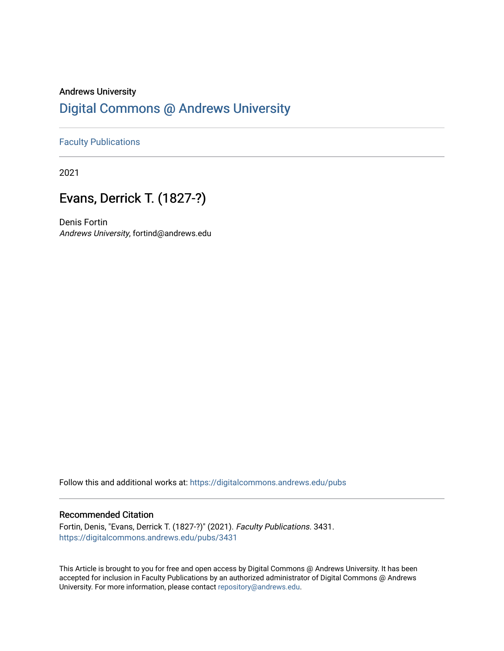### Andrews University [Digital Commons @ Andrews University](https://digitalcommons.andrews.edu/)

### [Faculty Publications](https://digitalcommons.andrews.edu/pubs)

2021

## Evans, Derrick T. (1827-?)

Denis Fortin Andrews University, fortind@andrews.edu

Follow this and additional works at: [https://digitalcommons.andrews.edu/pubs](https://digitalcommons.andrews.edu/pubs?utm_source=digitalcommons.andrews.edu%2Fpubs%2F3431&utm_medium=PDF&utm_campaign=PDFCoverPages) 

#### Recommended Citation

Fortin, Denis, "Evans, Derrick T. (1827-?)" (2021). Faculty Publications. 3431. [https://digitalcommons.andrews.edu/pubs/3431](https://digitalcommons.andrews.edu/pubs/3431?utm_source=digitalcommons.andrews.edu%2Fpubs%2F3431&utm_medium=PDF&utm_campaign=PDFCoverPages) 

This Article is brought to you for free and open access by Digital Commons @ Andrews University. It has been accepted for inclusion in Faculty Publications by an authorized administrator of Digital Commons @ Andrews University. For more information, please contact [repository@andrews.edu](mailto:repository@andrews.edu).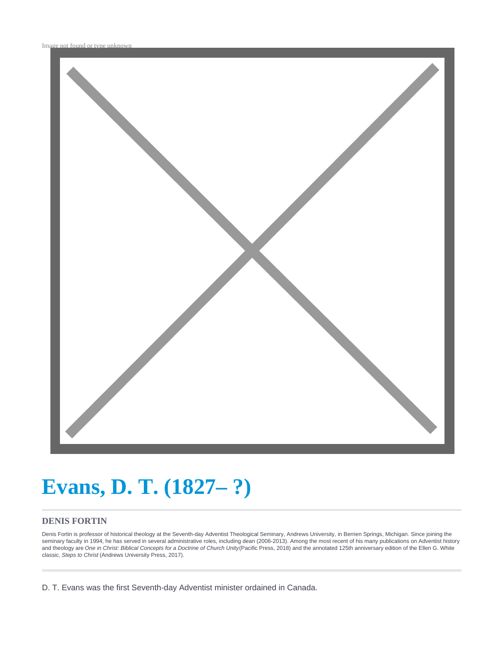

# **Evans, D. T. (1827– ?)**

### **DENIS FORTIN**

Denis Fortin is professor of historical theology at the Seventh-day Adventist Theological Seminary, Andrews University, in Berrien Springs, Michigan. Since joining the seminary faculty in 1994, he has served in several administrative roles, including dean (2006-2013). Among the most recent of his many publications on Adventist history and theology are One in Christ: Biblical Concepts for a Doctrine of Church Unity (Pacific Press, 2018) and the annotated 125th anniversary edition of the Ellen G. White classic, Steps to Christ (Andrews University Press, 2017).

D. T. Evans was the first Seventh-day Adventist minister ordained in Canada.